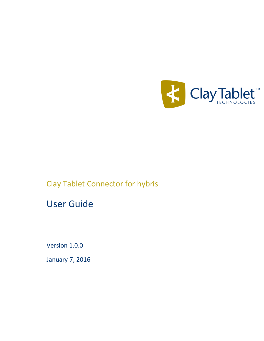

# Clay Tablet Connector for hybris

# User Guide

Version 1.0.0

January 7, 2016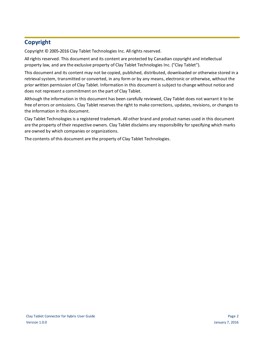## **Copyright**

Copyright © 2005-2016 Clay Tablet Technologies Inc. All rights reserved.

All rights reserved. This document and its content are protected by Canadian copyright and intellectual property law, and are the exclusive property of Clay Tablet Technologies Inc. ("Clay Tablet").

This document and its content may not be copied, published, distributed, downloaded or otherwise stored in a retrieval system, transmitted or converted, in any form or by any means, electronic or otherwise, without the prior written permission of Clay Tablet. Information in this document is subject to change without notice and does not represent a commitment on the part of Clay Tablet.

Although the information in this document has been carefully reviewed, Clay Tablet does not warrant it to be free of errors or omissions. Clay Tablet reserves the right to make corrections, updates, revisions, or changes to the information in this document.

Clay Tablet Technologies is a registered trademark. All other brand and product names used in this document are the property of their respective owners. Clay Tablet disclaims any responsibility for specifying which marks are owned by which companies or organizations.

The contents of this document are the property of Clay Tablet Technologies.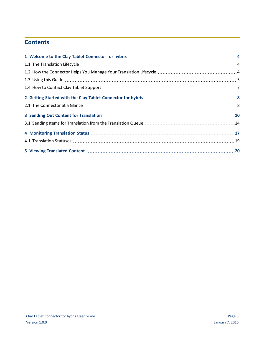## **Contents**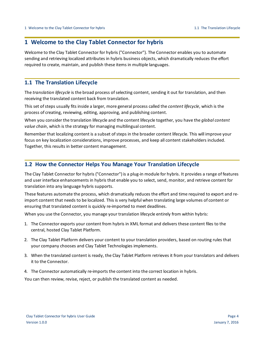## <span id="page-3-0"></span>**1 Welcome to the Clay Tablet Connector for hybris**

Welcome to the Clay Tablet Connector for hybris ("Connector"). The Connector enables you to automate sending and retrieving localized attributes in hybris business objects, which dramatically reduces the effort required to create, maintain, and publish these items in multiple languages.

## <span id="page-3-1"></span>**1.1 The Translation Lifecycle**

The *translation lifecycle* is the broad process ofselecting content, sending it out for translation, and then receiving the translated content back from translation.

This set of steps usually fits inside a larger, more general process called the *content lifecycle*, which is the process of creating, reviewing, editing, approving, and publishing content.

When you consider the translation lifecycle and the content lifecycle together, you have the *global content value chain*, which is the strategy for managing multilingual content.

Remember that localizing content is a subset of steps in the broader content lifecycle. This will improve your focus on key localization considerations, improve processes, and keep all content stakeholders included. Together, this results in better content management.

## <span id="page-3-2"></span>**1.2 How the Connector Helps You Manage Your Translation Lifecycle**

The Clay Tablet Connector for hybris ("Connector") is a plug-in module for hybris. It provides a range of features and user interface enhancements in hybris that enable you to select, send, monitor, and retrieve content for translation into any language hybris supports.

These features automate the process, which dramatically reduces the effort and time required to export and reimport content that needs to be localized. This is very helpful when translating large volumes of content or ensuring that translated content is quickly re-imported to meet deadlines.

When you use the Connector, you manage your translation lifecycle entirely from within hybris:

- 1. The Connector exports your content from hybris in XML format and delivers these content files to the central, hosted Clay Tablet Platform.
- 2. The Clay Tablet Platform delivers your content to your translation providers, based on routing rules that your company chooses and Clay Tablet Technologies implements.
- 3. When the translated content is ready, the Clay Tablet Platform retrieves it from your translators and delivers it to the Connector.
- 4. The Connector automatically re-imports the content into the correct location in hybris.

You can then review, revise, reject, or publish the translated content as needed.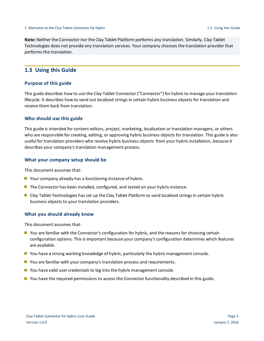**Note:** Neither the Connector nor the Clay Tablet Platform performs any translation. Similarly, Clay Tablet Technologies does not provide any translation services. Your company chooses the translation provider that performs the translation.

## <span id="page-4-0"></span>**1.3 Using this Guide**

## **Purpose of this guide**

This guide describes how to use the Clay Tablet Connector ("Connector") for hybris to manage your translation lifecycle. It describes how to send out localized strings in certain hybris business objects for translation and receive them back from translation.

## **Who should use this guide**

This guide is intended for content editors, project, marketing, localization or translation managers, or others who are responsible for creating, editing, or approving hybris business objects for translation. This guide is also useful for translation providers who receive hybris business objects from your hybris installation, because it describes your company's translation management process.

### **What your company setup should be**

This document assumes that:

- Your company already has a functioning instance of hybris.
- **The Connector has been installed, configured, and tested on your hybris instance.**
- Clay Tablet Technologies has set up the Clay Tablet Platform to send localized strings in certain hybris business objects to your translation providers.

### **What you should already know**

This document assumes that:

- **D** You are familiar with the Connector's configuration for hybris, and the reasons for choosing certain configuration options. This is important because your company's configuration determines which features are available.
- **P** You have a strong working knowledge of hybris, particularly the hybris management console.
- **D** You are familiar with your company's translation process and requirements.
- $\blacksquare$  You have valid user credentials to log into the hybris management console.
- **P** You have the required permissions to access the Connector functionality described in this guide.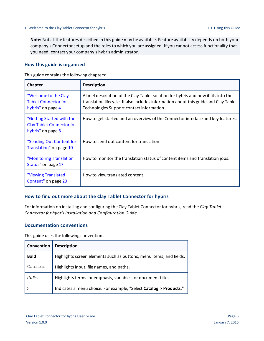**Note:** Not all the features described in this guide may be available. Feature availability depends on both your company's Connector setup and the roles to which you are assigned. If you cannot access functionality that you need, contact your company's hybris administrator.

## **How this guide is organized**

This guide contains the following chapters:

| Chapter                                                                            | <b>Description</b>                                                                                                                                                                                                       |
|------------------------------------------------------------------------------------|--------------------------------------------------------------------------------------------------------------------------------------------------------------------------------------------------------------------------|
| "Welcome to the Clay<br><b>Tablet Connector for</b><br>hybris" on page 4           | A brief description of the Clay Tablet solution for hybris and how it fits into the<br>translation lifecycle. It also includes information about this guide and Clay Tablet<br>Technologies Support contact information. |
| "Getting Started with the<br><b>Clay Tablet Connector for</b><br>hybris" on page 8 | How to get started and an overview of the Connector interface and key features.                                                                                                                                          |
| "Sending Out Content for<br>Translation" on page 10                                | How to send out content for translation.                                                                                                                                                                                 |
| "Monitoring Translation<br>Status" on page 17                                      | How to monitor the translation status of content items and translation jobs.                                                                                                                                             |
| "Viewing Translated<br>Content" on page 20                                         | How to view translated content.                                                                                                                                                                                          |

## **How to find out more about the Clay Tablet Connector for hybris**

For information on installing and configuring the Clay Tablet Connector for hybris, read the *Clay Tablet Connector for hybris Installation and Configuration Guide*.

## **Documentation conventions**

This guide uses the following conventions:

| Convention  | <b>Description</b>                                                  |
|-------------|---------------------------------------------------------------------|
| <b>Bold</b> | Highlights screen elements such as buttons, menu items, and fields. |
| Courier     | Highlights input, file names, and paths.                            |
| Italics     | Highlights terms for emphasis, variables, or document titles.       |
|             | Indicates a menu choice. For example, "Select Catalog > Products."  |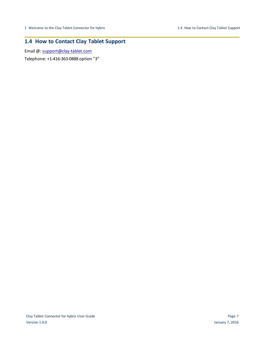## <span id="page-6-0"></span>**1.4 How to Contact Clay Tablet Support**

Email @: [support@clay-tablet.com](mailto:support@clay-tablet.com)

Telephone: +1-416-363-0888 option "3"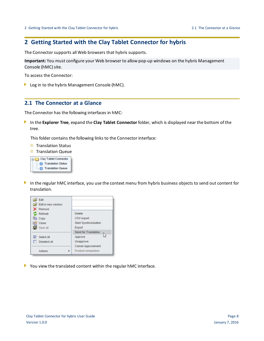## <span id="page-7-0"></span>**2 Getting Started with the Clay Tablet Connector for hybris**

The Connector supports all Web browsers that hybris supports.

**Important:** You must configure your Web browser to allow pop-up windows on the hybris Management Console (hMC) site.

To access the Connector:

<span id="page-7-1"></span>Log in to the hybris Management Console (hMC).

## **2.1 The Connector at a Glance**

The Connector has the following interfaces in hMC:

In the **Explorer Tree**, expand the **Clay Tablet Connector** folder, which is displayed near the bottom of the tree.

This folder contains the following links to the Connector interface:

- **Translation Status**
- **Translation Queue**



In the regular hMC interface, you use the context menu from hybris business objects to send out content for translation.



You view the translated content within the regular hMC interface.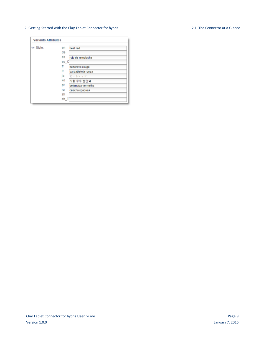#### 2 Getting Started with the Clay Tablet Connector for hybris 2.1 The Connector at a Glance

#### **Variants Attributes**  $\blacktriangledown$  Style:  $en$ beet red de es rojo de remolacha  $es_C$ fr betterave rouge it barbabietola rossa ja ビートレッド ko 사탕 무우 빨간색 pt beterraba vermelha ru свекла красная zh  $zh_T$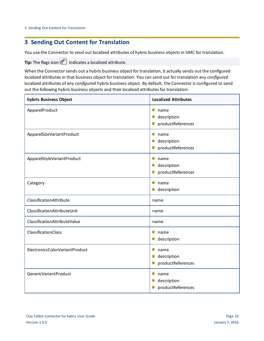<span id="page-9-0"></span>You use the Connector to send out localized attributes of hybris business objects in hMC for translation.

**Tip:** The flags icon **in** indicates a localized attribute.

When the Connector sends out a hybris business object for translation, it actually sends out the configured localized attributes in that business object for translation. You can send out for translation any *configured* localized attributes of any *configured* hybris business object. By default, the Connector is configured to send out the following hybris business objects and their localized attributes for translation:

| hybris Business Object         | <b>Localized Attributes</b>                                                        |  |
|--------------------------------|------------------------------------------------------------------------------------|--|
| ApparelProduct                 | H.<br>name<br>description<br>$\mathbb{R}^n$<br>productReferences<br>$\mathbb{R}^n$ |  |
| ApparelSizeVariantProduct      | $\Box$<br>name<br>description<br>$\mathbb{R}^n$<br>productReferences<br>Ш          |  |
| ApparelStyleVariantProduct     | $\Box$<br>name<br>description<br>П<br>productReferences<br>H                       |  |
| Category                       | $\mathbb{Z}^2$<br>name<br>description                                              |  |
| ClassificationAttribute        | name                                                                               |  |
| ClassificationAttributeUnit    | name                                                                               |  |
| ClassificationAttributeValue   | name                                                                               |  |
| ClassificationClass            | m.<br>name<br>description<br>$\mathbb{Z}^2$                                        |  |
| ElectronicsColorVariantProduct | name<br>$\mathbb{Z}^2$<br>description<br>$\mathbb{Z}^2$<br>productReferences<br>Ш  |  |
| GenericVariantProduct          | n a<br>name<br>description<br>$\mathbb{R}^n$<br>productReferences                  |  |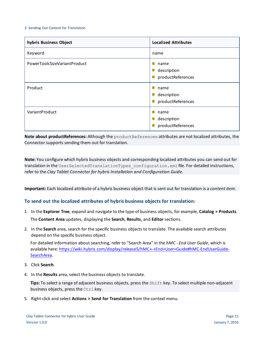| hybris Business Object       | <b>Localized Attributes</b>              |
|------------------------------|------------------------------------------|
| Keyword                      | name                                     |
| PowerToolsSizeVariantProduct | name<br>description<br>productReferences |
| Product                      | name<br>description<br>productReferences |
| VariantProduct               | name<br>description<br>productReferences |

**Note about productReferences:** Although the productReferences attributes are not localized attributes, the Connector supports sending them out for translation.

**Note:** You configure which hybris business objects and corresponding localized attributes you can send out for translation in the UserSelectedTranslationTypes configuration.xml file. For detailed instructions, refer to the *Clay Tablet Connector for hybris Installation and Configuration Guide*.

**Important:** Each localized attribute of a hybris business object that is sent out for translation is a *content item*.

## **To send out the localized attributes of hybris business objects for translation:**

- 1. In the **Explorer Tree**, expand and navigate to the type of business objects, for example, **Catalog > Products**. The **Content Area** updates, displaying the **Search**, **Results**, and **Editor**sections.
- 2. In the **Search** area, search for the specific business objects to translate. The available search attributes depend on the specific business object.

For detailed information about searching, refer to "Search Area" in the *hMC - End User Guide*, which is available here: [https://wiki.hybris.com/display/release5/hMC+-+End+User+Guide#hMC-EndUserGuide-](https://wiki.hybris.com/display/release5/hMC+-+End+User+Guide#hMC-EndUserGuide-SearchArea)[SearchArea.](https://wiki.hybris.com/display/release5/hMC+-+End+User+Guide#hMC-EndUserGuide-SearchArea)

- 3. Click **Search**.
- 4. In the **Results** area, select the business objects to translate.

**Tips:** To select a range of adjacent business objects, press the Shift key. To select multiple non-adjacent business objects, press the Ctrl key.

5. Right-click and select **Actions > Send for Translation** from the context menu.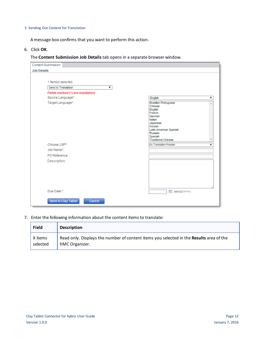A message box confirms that you want to perform this action.

6. Click **OK**.

The **Content Submission Job Details** tab opens in a separate browser window.

| <b>Content Submission</b>                  |                                                                                                                                                                                      |
|--------------------------------------------|--------------------------------------------------------------------------------------------------------------------------------------------------------------------------------------|
| <b>Job Details</b>                         |                                                                                                                                                                                      |
| 1 Item(s) selected.<br>Send to Translation |                                                                                                                                                                                      |
| Fields marked (*) are mandatory            |                                                                                                                                                                                      |
| Source Language*:                          | English                                                                                                                                                                              |
| Target Language*:                          | <b>Brazilian Portuguese</b><br>Chinese<br>English<br>French<br>German<br>Italian<br>Japanese<br>Korean<br>Latin-American Spanish<br>Russian<br>Spanish<br><b>Traditional Chinese</b> |
| Choose LSP*:                               | My Translation Provider                                                                                                                                                              |
| Job Name*:                                 |                                                                                                                                                                                      |
| PO Reference:                              |                                                                                                                                                                                      |
| Description:                               |                                                                                                                                                                                      |
| Due Date:*:                                | <b>REE (MM/DD/YYYY)</b>                                                                                                                                                              |
| Send to Clay Tablet<br>Cancel              |                                                                                                                                                                                      |

7. Enter the following information about the content items to translate:

| <b>Field</b> | <b>Description</b>                                                                      |
|--------------|-----------------------------------------------------------------------------------------|
| X items      | Read only. Displays the number of content items you selected in the Results area of the |
| selected     | hMC Organizer.                                                                          |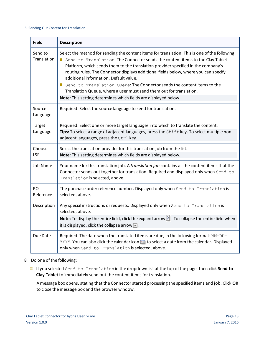| <b>Field</b>           | <b>Description</b>                                                                                                                                                                                                                                                                                                                                                                                                                                                                                                                                                                                                          |
|------------------------|-----------------------------------------------------------------------------------------------------------------------------------------------------------------------------------------------------------------------------------------------------------------------------------------------------------------------------------------------------------------------------------------------------------------------------------------------------------------------------------------------------------------------------------------------------------------------------------------------------------------------------|
| Send to<br>Translation | Select the method for sending the content items for translation. This is one of the following:<br>Send to Translation: The Connector sends the content items to the Clay Tablet<br>Platform, which sends them to the translation provider specified in the company's<br>routing rules. The Connector displays additional fields below, where you can specify<br>additional information. Default value.<br>Send to Translation Queue: The Connector sends the content items to the<br>Translation Queue, where a user must send them out for translation.<br>Note: This setting determines which fields are displayed below. |
| Source<br>Language     | Required. Select the source language to send for translation.                                                                                                                                                                                                                                                                                                                                                                                                                                                                                                                                                               |
| Target<br>Language     | Required. Select one or more target languages into which to translate the content.<br>Tips: To select a range of adjacent languages, press the Shift key. To select multiple non-<br>adjacent languages, press the Ctrl key.                                                                                                                                                                                                                                                                                                                                                                                                |
| Choose<br><b>LSP</b>   | Select the translation provider for this translation job from the list.<br>Note: This setting determines which fields are displayed below.                                                                                                                                                                                                                                                                                                                                                                                                                                                                                  |
| <b>Job Name</b>        | Your name for this translation job. A translation job contains all the content items that the<br>Connector sends out together for translation. Required and displayed only when Send to<br>Translation is selected, above                                                                                                                                                                                                                                                                                                                                                                                                   |
| PO.<br>Reference       | The purchase order reference number. Displayed only when Send to Translation is<br>selected, above.                                                                                                                                                                                                                                                                                                                                                                                                                                                                                                                         |
| Description            | Any special instructions or requests. Displayed only when Send to Translation is<br>selected, above.<br>Note: To display the entire field, click the expand arrow $\blacksquare$ . To collapse the entire field when<br>it is displayed, click the collapse arrow $\Box$ .                                                                                                                                                                                                                                                                                                                                                  |
| Due Date               | Required. The date when the translated items are due, in the following format: MM-DD-<br>YYYY. You can also click the calendar icon <b>HI</b> to select a date from the calendar. Displayed<br>only when Send to Translation is selected, above.                                                                                                                                                                                                                                                                                                                                                                            |

## 8. Do one of the following:

If you selected Send to Translation in the dropdown list at the top of the page, then click **Send to Clay Tablet** to immediately send out the content items for translation.

A message box opens, stating that the Connector started processing the specified items and job. Click **OK** to close the message box and the browser window.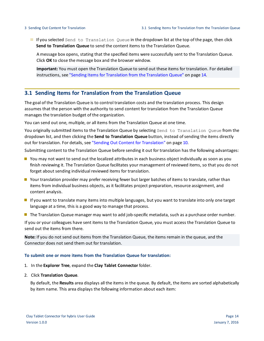If you selected Send to Translation Queue in the dropdown list at the top of the page, then click **Send to Translation Queue** to send the content items to the Translation Queue.

A message box opens, stating that the specified items were successfully sent to the Translation Queue. Click **OK** to close the message box and the browser window.

**Important:** You must open the Translation Queue to send out these items for translation. For detailed instructions, see "Sending Items for [Translation](#page-13-0) from the Translation Queue" on page 14.

## <span id="page-13-0"></span>**3.1 Sending Items for Translation from the Translation Queue**

The goal of the Translation Queue is to control translation costs and the translation process. This design assumes that the person with the authority to send content for translation from the Translation Queue manages the translation budget of the organization.

You can send out one, multiple, or all items from the Translation Queue at one time.

You originally submitted items to the Translation Queue by selecting Send to Translation Queue from the dropdown list, and then clicking the **Send to Translation Queue** button, instead ofsending the items directly out for translation. For details, see "Sending Out Content for [Translation"](#page-9-0) on page 10.

Submitting content to the Translation Queue before sending it out for translation has the following advantages:

- **P** You may not want to send out the localized attributes in each business object individually as soon as you finish reviewing it. The Translation Queue facilitates your management ofreviewed items, so that you do not forget about sending individual reviewed items for translation.
- Your translation provider may prefer receiving fewer but larger batches of items to translate, rather than items from individual business objects, as it facilitates project preparation, resource assignment, and content analysis.
- If you want to translate many items into multiple languages, but you want to translate into only one target language at a time, this is a good way to manage that process.
- **The Translation Queue manager may want to add job-specific metadata, such as a purchase order number.**

If you or your colleagues have sent items to the Translation Queue, you must access the Translation Queue to send out the items from there.

**Note:** If you do not send out items from the Translation Queue, the items remain in the queue, and the Connector does not send them out for translation.

## **To submit one or more items from the Translation Queue for translation:**

- 1. In the **Explorer Tree**, expand the **Clay Tablet Connector** folder.
- 2. Click **Translation Queue**.

By default, the **Results** area displays all the items in the queue. By default, the items are sorted alphabetically by item name. This area displays the following information about each item: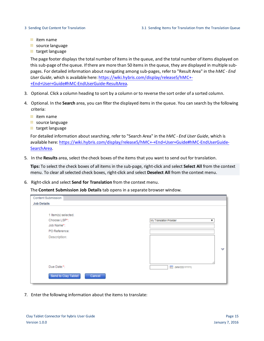- $\equiv$  item name
- source language
- target language

The page footer displays the total number of items in the queue, and the total number of items displayed on this sub-page of the queue. If there are more than 50 items in the queue, they are displayed in multiple subpages. For detailed information about navigating among sub-pages, refer to "Result Area" in the *hMC - End User Guide*, which is available here: [https://wiki.hybris.com/display/release5/hMC+-](https://wiki.hybris.com/display/release5/hMC+-+End+User+Guide#hMC-EndUserGuide-ResultArea) [+End+User+Guide#hMC-EndUserGuide-ResultArea.](https://wiki.hybris.com/display/release5/hMC+-+End+User+Guide#hMC-EndUserGuide-ResultArea)

- 3. Optional. Click a column heading to sort by a column or to reverse the sort order of a sorted column.
- 4. Optional. In the **Search** area, you can filter the displayed items in the queue. You can search by the following criteria:
	- $\equiv$  item name
	- source language
	- target language

For detailed information about searching, refer to "Search Area" in the *hMC - End User Guide*, which is available here: [https://wiki.hybris.com/display/release5/hMC+-+End+User+Guide#hMC-EndUserGuide-](https://wiki.hybris.com/display/release5/hMC+-+End+User+Guide#hMC-EndUserGuide-SearchArea)[SearchArea.](https://wiki.hybris.com/display/release5/hMC+-+End+User+Guide#hMC-EndUserGuide-SearchArea)

5. In the **Results** area, select the check boxes of the items that you want to send out for translation.

**Tips:** To select the check boxes of all items in the sub-page, right-click and select **Select All** from the context menu. To clear allselected check boxes, right-click and select **Deselect All** from the context menu.

6. Right-click and select **Send for Translation** from the context menu.

The **Content Submission Job Details** tab opens in a separate browser window.

| Content Submission            |                         |
|-------------------------------|-------------------------|
| <b>Job Details</b>            |                         |
|                               |                         |
| 1 Item(s) selected.           |                         |
| Choose LSP*:                  | My Translation Provider |
| Job Name*:                    |                         |
| PO Reference:                 |                         |
| Description:                  |                         |
|                               |                         |
|                               | $\checkmark$            |
|                               |                         |
|                               |                         |
| Due Date:*:                   |                         |
|                               | <b>KEE (MM/DD/YYYY)</b> |
| Send to Clay Tablet<br>Cancel |                         |
|                               |                         |

7. Enter the following information about the items to translate: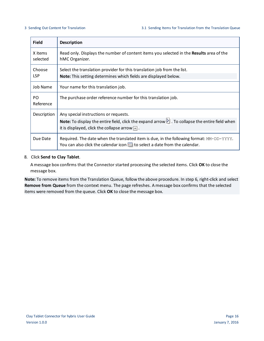| <b>Field</b>         | <b>Description</b>                                                                                                                                                               |
|----------------------|----------------------------------------------------------------------------------------------------------------------------------------------------------------------------------|
| X items<br>selected  | Read only. Displays the number of content items you selected in the <b>Results</b> area of the<br>hMC Organizer.                                                                 |
| Choose<br><b>LSP</b> | Select the translation provider for this translation job from the list.<br>Note: This setting determines which fields are displayed below.                                       |
| Job Name             | Your name for this translation job.                                                                                                                                              |
| PO.<br>Reference     | The purchase order reference number for this translation job.                                                                                                                    |
| Description          | Any special instructions or requests.<br>Note: To display the entire field, click the expand arrow $\blacksquare$ . To collapse the entire field when                            |
|                      | it is displayed, click the collapse arrow $\Box$ .                                                                                                                               |
| Due Date             | Required. The date when the translated item is due, in the following format: MM-DD-YYYY.<br>You can also click the calendar icon <b>Fig.</b> to select a date from the calendar. |

## 8. Click **Send to Clay Tablet**.

A message box confirms that the Connector started processing the selected items. Click **OK** to close the message box.

**Note:** To remove items from the Translation Queue, follow the above procedure. In step 6, right-click and select **Remove from Queue** from the context menu. The page refreshes. A message box confirms that the selected items were removed from the queue. Click **OK** to close the message box.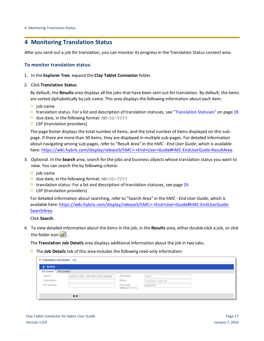## <span id="page-16-0"></span>**4 Monitoring Translation Status**

After you send out a job for translation, you can monitor its progress in the Translation Status content area.

## **To monitor translation status:**

- 1. In the **Explorer Tree**, expand the **Clay Tablet Connector** folder.
- 2. Click **Translation Status**.

By default, the **Results** area displays all the jobs that have been sent out for translation. By default, the items are sorted alphabetically by job name. This area displays the following information about each item:

- $\equiv$  job name
- $\equiv$  translation status. For a list and description of translation statuses, see ["Translation](#page-18-0) Statuses" on page 19.
- **u** due date, in the following format: MM-DD-YYYY
- $\equiv$  LSP (translation providers)

The page footer displays the total number of items, and the total number of items displayed on this subpage. If there are more than 50 items, they are displayed in multiple sub-pages. For detailed information about navigating among sub-pages, refer to "Result Area" in the *hMC - End User Guide*, which is available here: <https://wiki.hybris.com/display/release5/hMC+-+End+User+Guide#hMC-EndUserGuide-ResultArea>.

- 3. Optional. In the **Search** area, search for the jobs and business objects whose translation status you want to view. You can search the by following criteria:
	- $\equiv$  job name
	- **due date, in the following format: MM-DD-YYYY**
	- $\equiv$  translation status: For a list and description of translation statuses, see [page](#page-18-0) 19.
	- $\equiv$  LSP (translation providers)

For detailed information about searching, refer to "Search Area" in the *hMC - End User Guide*, which is available here: [https://wiki.hybris.com/display/release5/hMC+-+End+User+Guide#hMC-EndUserGuide-](https://wiki.hybris.com/display/release5/hMC+-+End+User+Guide#hMC-EndUserGuide-SearchArea)[SearchArea.](https://wiki.hybris.com/display/release5/hMC+-+End+User+Guide#hMC-EndUserGuide-SearchArea)

Click **Search**.

4. To view detailed information about the items in the job, in the **Results** area, either double-click a job, or click the folder icon  $\mathbb{E}$ .

The **Translation Job Details** area displays additional information about the job in two tabs.

The **Job Details** tab of this area includes the following read-only information:

| <b>の Reload</b>    |                                      |                           |                             |  |
|--------------------|--------------------------------------|---------------------------|-----------------------------|--|
| <b>Job Details</b> | <b>File Details</b>                  |                           |                             |  |
| Job ID:            | 8a6357e7-565c-4303-9251-2b5c1dfdbb0d | Job Name:                 | Test 7                      |  |
| Description:       |                                      | Status:                   | <b>Translation received</b> |  |
| PO Number:         |                                      | Due Date<br>(MM/DD/YYYY): | 08/30/2015                  |  |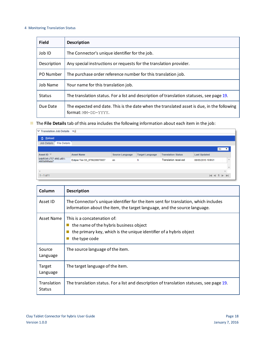#### 4 Monitoring Translation Status

| <b>Field</b>  | <b>Description</b>                                                                                                |
|---------------|-------------------------------------------------------------------------------------------------------------------|
| Job ID        | The Connector's unique identifier for the job.                                                                    |
| Description   | Any special instructions or requests for the translation provider.                                                |
| PO Number     | The purchase order reference number for this translation job.                                                     |
| Job Name      | Your name for this translation job.                                                                               |
| <b>Status</b> | The translation status. For a list and description of translation statuses, see page 19.                          |
| Due Date      | The expected end date. This is the date when the translated asset is due, in the following<br>format: MM-DD-YYYY. |

The **File Details** tab of this area includes the following information about each item in the job:

| ▽ Translation Job Details ▽ a             |                              |                 |                        |                             |                     |                                |  |
|-------------------------------------------|------------------------------|-----------------|------------------------|-----------------------------|---------------------|--------------------------------|--|
| <b>之 Reload</b>                           |                              |                 |                        |                             |                     |                                |  |
| <b>File Details</b><br><b>Job Details</b> |                              |                 |                        |                             |                     |                                |  |
|                                           |                              |                 |                        |                             |                     | $50$ $V$                       |  |
| Asset ID $\overline{\phantom{a}}$         | <b>Asset Name</b>            | Source Language | <b>Target Language</b> | <b>Translation Status</b>   | <b>Last Updated</b> |                                |  |
| b4bf934f-c757-4f45-af01-<br>4683d08fada7  | Eclipse Tee SS_8796208070657 | en              | fr                     | <b>Translation received</b> | 08/05/2015 10:05:21 |                                |  |
|                                           |                              |                 |                        |                             |                     |                                |  |
|                                           |                              |                 |                        |                             |                     |                                |  |
| $1 - 1$ of 1                              |                              |                 |                        |                             |                     | $M \ll 1$ $\triangleright$ $M$ |  |

| Column                       | <b>Description</b>                                                                                                                                               |
|------------------------------|------------------------------------------------------------------------------------------------------------------------------------------------------------------|
| Asset ID                     | The Connector's unique identifier for the item sent for translation, which includes<br>information about the item, the target language, and the source language. |
| Asset Name                   | This is a concatenation of:<br>the name of the hybris business object<br>the primary key, which is the unique identifier of a hybris object<br>the type code     |
| Source<br>Language           | The source language of the item.                                                                                                                                 |
| Target<br>Language           | The target language of the item.                                                                                                                                 |
| Translation<br><b>Status</b> | The translation status. For a list and description of translation statuses, see page 19.                                                                         |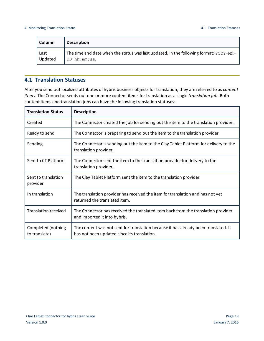| <b>Column</b> | <b>Description</b>                                                                    |
|---------------|---------------------------------------------------------------------------------------|
| Last          | The time and date when the status was last updated, in the following format: YYYY-MM- |
| Updated       | DD hh:mm:ss.                                                                          |

## <span id="page-18-0"></span>**4.1 Translation Statuses**

After you send out localized attributes of hybris business objects for translation, they are referred to as *content items*. The Connector sends out one or more content items for translation as a single *translation job*. Both content items and translation jobs can have the following translation statuses:

| <b>Translation Status</b>           | <b>Description</b>                                                                                                                 |
|-------------------------------------|------------------------------------------------------------------------------------------------------------------------------------|
| Created                             | The Connector created the job for sending out the item to the translation provider.                                                |
| Ready to send                       | The Connector is preparing to send out the item to the translation provider.                                                       |
| Sending                             | The Connector is sending out the item to the Clay Tablet Platform for delivery to the<br>translation provider.                     |
| Sent to CT Platform                 | The Connector sent the item to the translation provider for delivery to the<br>translation provider.                               |
| Sent to translation<br>provider     | The Clay Tablet Platform sent the item to the translation provider.                                                                |
| In translation                      | The translation provider has received the item for translation and has not yet<br>returned the translated item.                    |
| <b>Translation received</b>         | The Connector has received the translated item back from the translation provider<br>and imported it into hybris.                  |
| Completed (nothing<br>to translate) | The content was not sent for translation because it has already been translated. It<br>has not been updated since its translation. |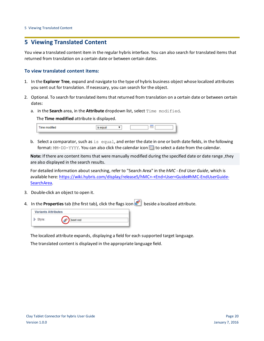## <span id="page-19-0"></span>**5 Viewing Translated Content**

You view a translated content item in the regular hybris interface. You can also search for translated items that returned from translation on a certain date or between certain dates.

## **To view translated content items:**

- 1. In the **Explorer Tree**, expand and navigate to the type of hybris business object whose localized attributes you sent out for translation. If necessary, you can search for the object.
- 2. Optional. To search for translated items that returned from translation on a certain date or between certain dates:
	- a. in the **Search** area, in the **Attribute** dropdown list, select Time modified.

The **Time modified** attribute is displayed.

| Time modified |  |  |
|---------------|--|--|
|               |  |  |

b. Select a comparator, such as is equal, and enter the date in one or both date fields, in the following format: MM-DD-YYYY. You can also click the calendar icon **III** to select a date from the calendar.

**Note:** If there are content items that were manually modified during the specified date or date range ,they are also displayed in the search results.

For detailed information about searching, refer to "Search Area" in the *hMC - End User Guide*, which is available here: [https://wiki.hybris.com/display/release5/hMC+-+End+User+Guide#hMC-EndUserGuide-](https://wiki.hybris.com/display/release5/hMC+-+End+User+Guide#hMC-EndUserGuide-SearchArea)[SearchArea.](https://wiki.hybris.com/display/release5/hMC+-+End+User+Guide#hMC-EndUserGuide-SearchArea)

- 3. Double-click an object to open it.
- 4. In the **Properties** tab (the first tab), click the flags icon **be let us** beside a localized attribute.

| <b>Variants Attributes</b> |             |  |
|----------------------------|-------------|--|
| Style:                     | et red<br>m |  |

The localized attribute expands, displaying a field for each supported target language.

The translated content is displayed in the appropriate language field.